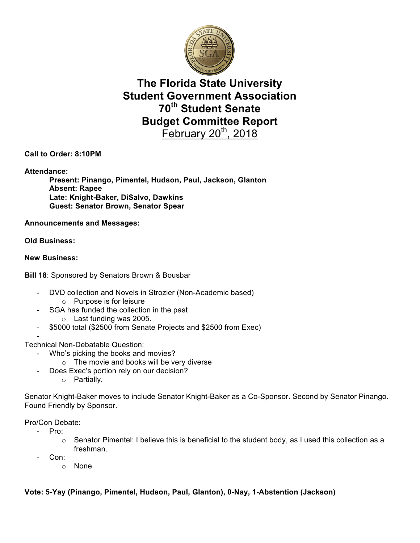

# **The Florida State University Student Government Association 70th Student Senate Budget Committee Report** February  $20<sup>th</sup>$ , 2018

**Call to Order: 8:10PM**

**Attendance:**

**Present: Pinango, Pimentel, Hudson, Paul, Jackson, Glanton Absent: Rapee Late: Knight-Baker, DiSalvo, Dawkins Guest: Senator Brown, Senator Spear**

**Announcements and Messages:**

**Old Business:**

#### **New Business:**

**Bill 18**: Sponsored by Senators Brown & Bousbar

- DVD collection and Novels in Strozier (Non-Academic based)
	- o Purpose is for leisure
- SGA has funded the collection in the past o Last funding was 2005.
- \$5000 total (\$2500 from Senate Projects and \$2500 from Exec)

- Technical Non-Debatable Question:

- Who's picking the books and movies?
	- o The movie and books will be very diverse
	- Does Exec's portion rely on our decision?
		- o Partially.

Senator Knight-Baker moves to include Senator Knight-Baker as a Co-Sponsor. Second by Senator Pinango. Found Friendly by Sponsor.

Pro/Con Debate:

Pro:

- $\circ$  Senator Pimentel: I believe this is beneficial to the student body, as I used this collection as a freshman.
- Con:
	- o None

### **Vote: 5-Yay (Pinango, Pimentel, Hudson, Paul, Glanton), 0-Nay, 1-Abstention (Jackson)**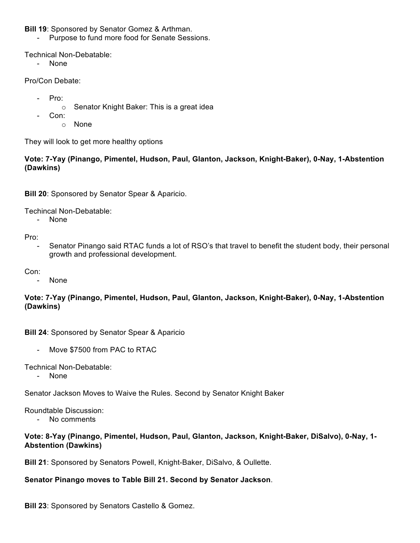**Bill 19**: Sponsored by Senator Gomez & Arthman.

- Purpose to fund more food for Senate Sessions.

Technical Non-Debatable:

- None

Pro/Con Debate:

- Pro:
	- o Senator Knight Baker: This is a great idea
- Con:
	- o None

They will look to get more healthy options

### **Vote: 7-Yay (Pinango, Pimentel, Hudson, Paul, Glanton, Jackson, Knight-Baker), 0-Nay, 1-Abstention (Dawkins)**

**Bill 20**: Sponsored by Senator Spear & Aparicio.

Techincal Non-Debatable:

- None

Pro:

- Senator Pinango said RTAC funds a lot of RSO's that travel to benefit the student body, their personal growth and professional development.
- Con:
	- None

### **Vote: 7-Yay (Pinango, Pimentel, Hudson, Paul, Glanton, Jackson, Knight-Baker), 0-Nay, 1-Abstention (Dawkins)**

**Bill 24**: Sponsored by Senator Spear & Aparicio

- Move \$7500 from PAC to RTAC

Technical Non-Debatable:

- None

Senator Jackson Moves to Waive the Rules. Second by Senator Knight Baker

Roundtable Discussion:

- No comments

### **Vote: 8-Yay (Pinango, Pimentel, Hudson, Paul, Glanton, Jackson, Knight-Baker, DiSalvo), 0-Nay, 1- Abstention (Dawkins)**

**Bill 21**: Sponsored by Senators Powell, Knight-Baker, DiSalvo, & Oullette.

### **Senator Pinango moves to Table Bill 21. Second by Senator Jackson**.

**Bill 23**: Sponsored by Senators Castello & Gomez.